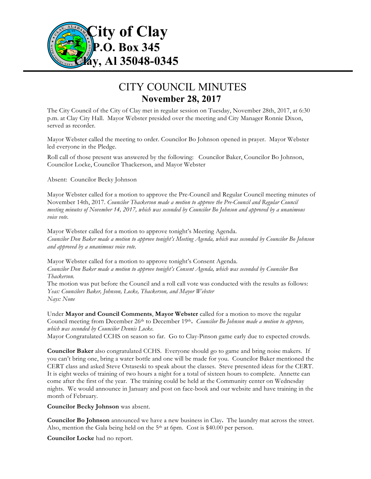

## CITY COUNCIL MINUTES **November 28, 2017**

The City Council of the City of Clay met in regular session on Tuesday, November 28th, 2017, at 6:30 p.m. at Clay City Hall. Mayor Webster presided over the meeting and City Manager Ronnie Dixon, served as recorder.

Mayor Webster called the meeting to order. Councilor Bo Johnson opened in prayer. Mayor Webster led everyone in the Pledge.

Roll call of those present was answered by the following: Councilor Baker, Councilor Bo Johnson, Councilor Locke, Councilor Thackerson, and Mayor Webster

Absent: Councilor Becky Johnson

Mayor Webster called for a motion to approve the Pre-Council and Regular Council meeting minutes of November 14th, 2017. *Councilor Thackerson made a motion to approve the Pre-Council and Regular Council meeting minutes of November 14, 2017, which was seconded by Councilor Bo Johnson and approved by a unanimous voice vote.*

Mayor Webster called for a motion to approve tonight's Meeting Agenda. *Councilor Don Baker made a motion to approve tonight's Meeting Agenda, which was seconded by Councilor Bo Johnson and approved by a unanimous voice vote.*

Mayor Webster called for a motion to approve tonight's Consent Agenda. *Councilor Don Baker made a motion to approve tonight's Consent Agenda, which was seconded by Councilor Ben Thackerson.*  The motion was put before the Council and a roll call vote was conducted with the results as follows:

*Yeas: Councilors Baker, Johnson, Locke, Thackerson, and Mayor Webster Nays: None*

Under **Mayor and Council Comments**, **Mayor Webster** called for a motion to move the regular Council meeting from December 26th to December 19th**.** *Councilor Bo Johnson made a motion to approve, which was seconded by Councilor Dennis Locke*.

Mayor Congratulated CCHS on season so far. Go to Clay-Pinson game early due to expected crowds.

**Councilor Baker** also congratulated CCHS. Everyone should go to game and bring noise makers. If you can't bring one, bring a water bottle and one will be made for you. Councilor Baker mentioned the CERT class and asked Steve Ostaseski to speak about the classes. Steve presented ideas for the CERT. It is eight weeks of training of two hours a night for a total of sixteen hours to complete. Annette can come after the first of the year. The training could be held at the Community center on Wednesday nights. We would announce in January and post on face-book and our website and have training in the month of February.

**Councilor Becky Johnson** was absent.

**Councilor Bo Johnson** announced we have a new business in Clay**.** The laundry mat across the street. Also, mention the Gala being held on the 5<sup>th</sup> at 6pm. Cost is \$40.00 per person.

**Councilor Locke** had no report.